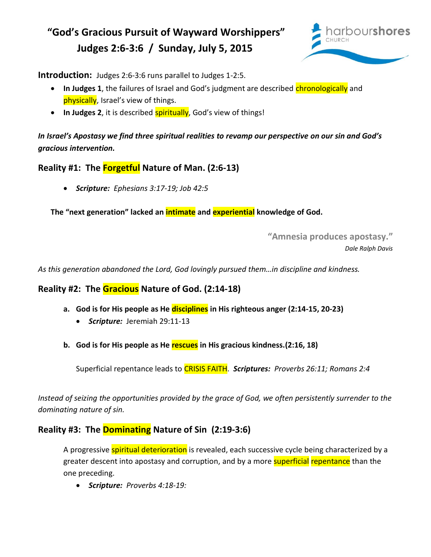## **"God's Gracious Pursuit of Wayward Worshippers" Judges 2:6-3:6 / Sunday, July 5, 2015**



**Introduction:** Judges 2:6-3:6 runs parallel to Judges 1-2:5.

- In Judges 1, the failures of Israel and God's judgment are described chronologically and physically, Israel's view of things.
- In Judges 2, it is described **spiritually**, God's view of things!

*In Israel's Apostasy we find three spiritual realities to revamp our perspective on our sin and God's gracious intervention.* 

**Reality #1: The Forgetful Nature of Man. (2:6-13)**

*Scripture: Ephesians 3:17-19; Job 42:5* 

**The "next generation" lacked an intimate and experiential knowledge of God.**

**"Amnesia produces apostasy."**

*Dale Ralph Davis* 

*As this generation abandoned the Lord, God lovingly pursued them…in discipline and kindness.* 

## **Reality #2: The Gracious Nature of God. (2:14-18)**

- **a. God is for His people as He disciplines in His righteous anger (2:14-15, 20-23)**
	- *Scripture:* Jeremiah 29:11-13
- **b. God is for His people as He rescues in His gracious kindness.(2:16, 18)**

Superficial repentance leads to CRISIS FAITH. *Scriptures: Proverbs 26:11; Romans 2:4*

*Instead of seizing the opportunities provided by the grace of God, we often persistently surrender to the dominating nature of sin.* 

## **Reality #3: The Dominating Nature of Sin (2:19-3:6)**

A progressive **spiritual deterioration** is revealed, each successive cycle being characterized by a greater descent into apostasy and corruption, and by a more **superficial repentance** than the one preceding.

*Scripture: Proverbs 4:18-19:*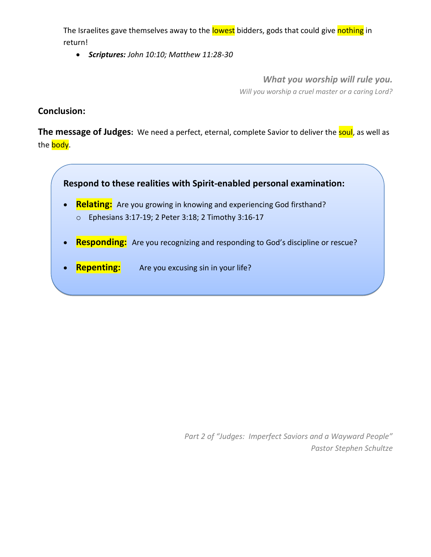The Israelites gave themselves away to the lowest bidders, gods that could give nothing in return!

*Scriptures: John 10:10; Matthew 11:28-30*

*What you worship will rule you. Will you worship a cruel master or a caring Lord?*

**Conclusion:**

**The message of Judges:** We need a perfect, eternal, complete Savior to deliver the **soul**, as well as the **body**.



*Part 2 of "Judges: Imperfect Saviors and a Wayward People" Pastor Stephen Schultze*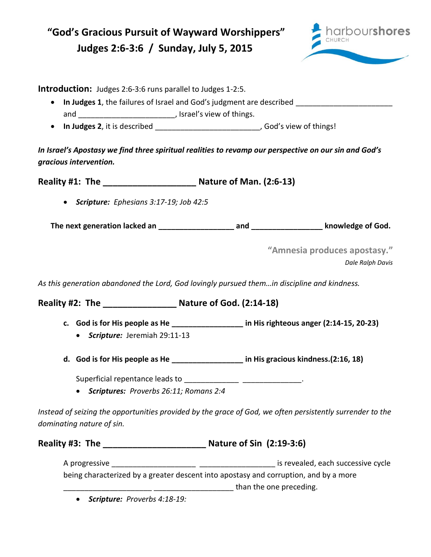| "God's Gracious Pursuit of Wayward Worshippers"<br>Judges 2:6-3:6 / Sunday, July 5, 2015                                                                                                                                          | arbourshores                                     |
|-----------------------------------------------------------------------------------------------------------------------------------------------------------------------------------------------------------------------------------|--------------------------------------------------|
| <b>Introduction:</b> Judges 2:6-3:6 runs parallel to Judges 1-2:5.<br>In Judges 1, the failures of Israel and God's judgment are described<br>In Judges 2, it is described _______________________________, God's view of things! |                                                  |
| In Israel's Apostasy we find three spiritual realities to revamp our perspective on our sin and God's<br>gracious intervention.                                                                                                   |                                                  |
| Reality #1: The _________________________________ Nature of Man. (2:6-13)                                                                                                                                                         |                                                  |
| • Scripture: Ephesians 3:17-19; Job 42:5                                                                                                                                                                                          |                                                  |
|                                                                                                                                                                                                                                   |                                                  |
|                                                                                                                                                                                                                                   | "Amnesia produces apostasy."<br>Dale Ralph Davis |
| As this generation abandoned the Lord, God lovingly pursued themin discipline and kindness.                                                                                                                                       |                                                  |
|                                                                                                                                                                                                                                   |                                                  |
| c. God is for His people as He _______________ in His righteous anger (2:14-15, 20-23)<br>• Scripture: Jeremiah 29:11-13                                                                                                          |                                                  |
| d. God is for His people as He _______________ in His gracious kindness.(2:16, 18)                                                                                                                                                |                                                  |
| Superficial repentance leads to ______________ __________________.<br>• Scriptures: Proverbs 26:11; Romans 2:4                                                                                                                    |                                                  |
| Instead of seizing the opportunities provided by the grace of God, we often persistently surrender to the<br>dominating nature of sin.                                                                                            |                                                  |
| Reality #3: The _________________________________ Nature of Sin (2:19-3:6)                                                                                                                                                        |                                                  |
| being characterized by a greater descent into apostasy and corruption, and by a more                                                                                                                                              |                                                  |

\_\_\_\_\_\_\_\_\_\_\_\_\_\_\_\_\_\_\_\_\_ \_\_\_\_\_\_\_\_\_\_\_\_\_\_\_\_\_\_\_ than the one preceding. *Scripture: Proverbs 4:18-19:*